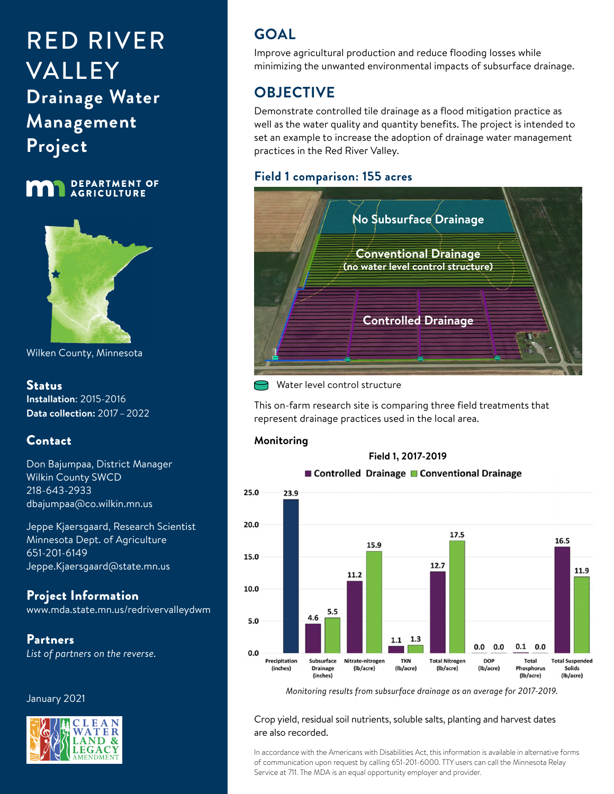# RED RIVER VALLEY **Drainage Water Management Project**





Wilken County, Minnesota

#### Status

**Installation**: 2015-2016 **Data collection:** 2017 – 2022

### Contact

Don Bajumpaa, District Manager Wilkin County SWCD 218-643-2933 dbajumpaa@co.wilkin.mn.us

Jeppe Kjaersgaard, Research Scientist Minnesota Dept. of Agriculture 651-201-6149 Jeppe.Kjaersgaard@state.mn.us

Project Information [www.mda.state.mn.us/redrivervalleydwm](http://www.mda.state.mn.us/redrivervalleydwm)

Partners *List of partners on the reverse.*

#### January 2021



## **GOAL**

Improve agricultural production and reduce flooding losses while minimizing the unwanted environmental impacts of subsurface drainage.

## **OBJECTIVE**

Demonstrate controlled tile drainage as a flood mitigation practice as well as the water quality and quantity benefits. The project is intended to set an example to increase the adoption of drainage water management practices in the Red River Valley.

#### **Field 1 comparison: 155 acres**



Water level control structure

This on-farm research site is comparing three field treatments that represent drainage practices used in the local area.

#### **Monitoring**



*Monitoring results from subsurface drainage as an average for 2017-2019.*

Crop yield, residual soil nutrients, soluble salts, planting and harvest dates are also recorded.

In accordance with the Americans with Disabilities Act, this information is available in alternative forms of communication upon request by calling 651-201-6000. TTY users can call the Minnesota Relay Service at 711. The MDA is an equal opportunity employer and provider.

#### **Field 1, 2017-2019**